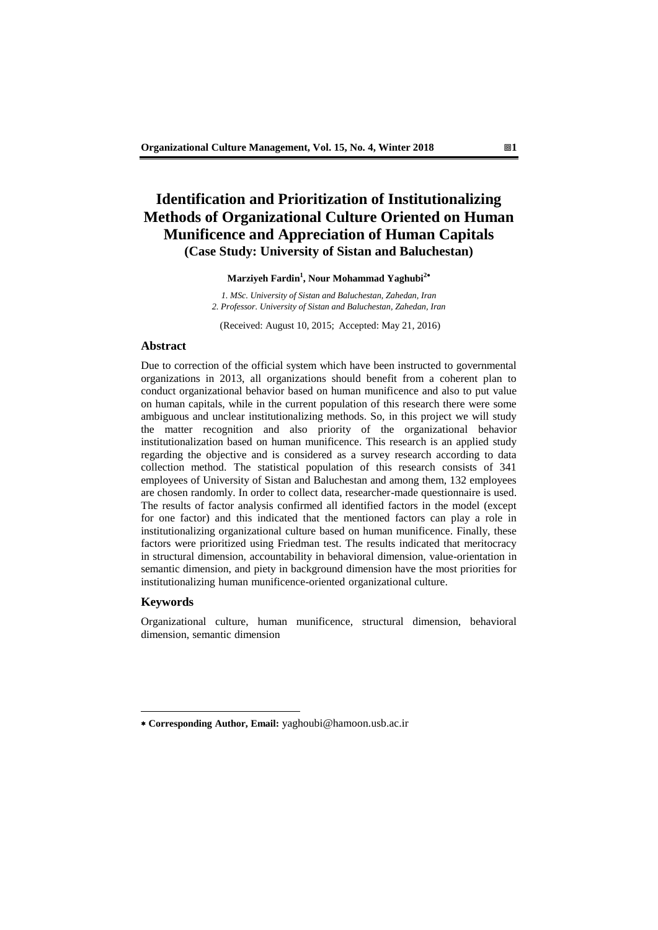# **Identification and Prioritization of Institutionalizing Methods of Organizational Culture Oriented on Human Munificence and Appreciation of Human Capitals (Case Study: University of Sistan and Baluchestan)**

**Marziyeh Fardin<sup>1</sup> , Nour Mohammad Yaghubi<sup>2</sup>**

*1. MSc. University of Sistan and Baluchestan, Zahedan, Iran 2. Professor. University of Sistan and Baluchestan, Zahedan, Iran*

(Received: August 10, 2015; Accepted: May 21, 2016)

### **Abstract**

Due to correction of the official system which have been instructed to governmental organizations in 2013, all organizations should benefit from a coherent plan to conduct organizational behavior based on human munificence and also to put value on human capitals, while in the current population of this research there were some ambiguous and unclear institutionalizing methods. So, in this project we will study the matter recognition and also priority of the organizational behavior institutionalization based on human munificence. This research is an applied study regarding the objective and is considered as a survey research according to data collection method. The statistical population of this research consists of 341 employees of University of Sistan and Baluchestan and among them, 132 employees are chosen randomly. In order to collect data, researcher-made questionnaire is used. The results of factor analysis confirmed all identified factors in the model (except for one factor) and this indicated that the mentioned factors can play a role in institutionalizing organizational culture based on human munificence. Finally, these factors were prioritized using Friedman test. The results indicated that meritocracy in structural dimension, accountability in behavioral dimension, value-orientation in semantic dimension, and piety in background dimension have the most priorities for institutionalizing human munificence-oriented organizational culture.

### **Keywords**

-

Organizational culture, human munificence, structural dimension, behavioral dimension, semantic dimension

**Corresponding Author, Email:** yaghoubi@hamoon.usb.ac.ir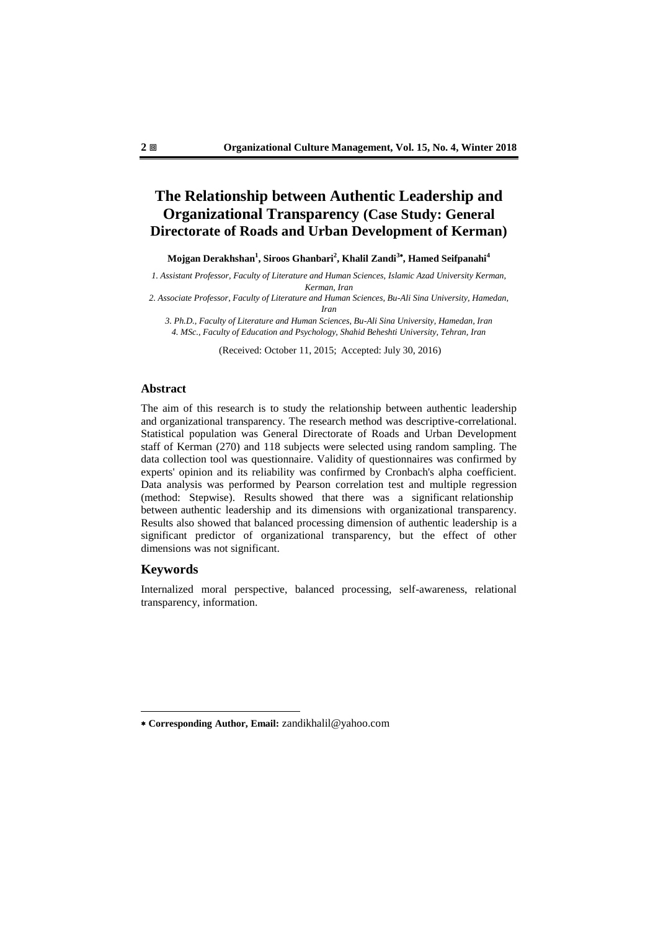# **The Relationship between Authentic Leadership and Organizational Transparency (Case Study: General Directorate of Roads and Urban Development of Kerman)**

**Mojgan Derakhshan<sup>1</sup> , Siroos Ghanbari<sup>2</sup> , Khalil Zandi<sup>3</sup> , Hamed Seifpanahi<sup>4</sup>**

*1. Assistant Professor, Faculty of Literature and Human Sciences, Islamic Azad University Kerman, Kerman, Iran*

*2. Associate Professor, Faculty of Literature and Human Sciences, Bu-Ali Sina University, Hamedan, Iran*

*3. Ph.D., Faculty of Literature and Human Sciences, Bu-Ali Sina University, Hamedan, Iran 4. MSc., Faculty of Education and Psychology, Shahid Beheshti University, Tehran, Iran*

(Received: October 11, 2015; Accepted: July 30, 2016)

### **Abstract**

The aim of this research is to study the relationship between authentic leadership and organizational transparency. The research method was descriptive-correlational. Statistical population was General Directorate of Roads and Urban Development staff of Kerman (270) and 118 subjects were selected using random sampling. The data collection tool was questionnaire. Validity of questionnaires was confirmed by experts' opinion and its reliability was confirmed by Cronbach's alpha coefficient. Data analysis was performed by Pearson correlation test and multiple regression (method: Stepwise). Results showed that there was a significant relationship between authentic leadership and its dimensions with organizational transparency. Results also showed that balanced processing dimension of authentic leadership is a significant predictor of organizational transparency, but the effect of other dimensions was not significant.

### **Keywords**

-

Internalized moral perspective, balanced processing, self-awareness, relational transparency, information.

**Corresponding Author, Email:** zandikhalil@yahoo.com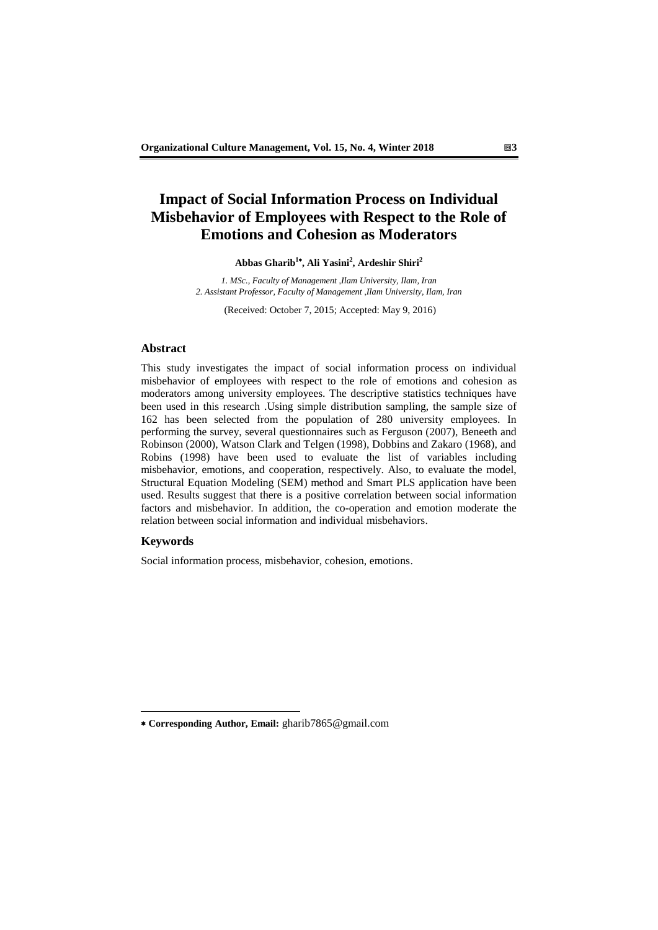# **Impact of Social Information Process on Individual Misbehavior of Employees with Respect to the Role of Emotions and Cohesion as Moderators**

**Abbas Gharib<sup>1</sup> , Ali Yasini<sup>2</sup> , Ardeshir Shiri<sup>2</sup>**

*1. MSc., Faculty of Management* ,*Ilam University, Ilam, Iran 2. Assistant Professor, Faculty of Management* ,*Ilam University, Ilam, Iran*

(Received: October 7, 2015; Accepted: May 9, 2016)

### **Abstract**

This study investigates the impact of social information process on individual misbehavior of employees with respect to the role of emotions and cohesion as moderators among university employees. The descriptive statistics techniques have been used in this research .Using simple distribution sampling, the sample size of 162 has been selected from the population of 280 university employees. In performing the survey, several questionnaires such as Ferguson (2007), Beneeth and Robinson (2000), Watson Clark and Telgen (1998), Dobbins and Zakaro (1968), and Robins (1998) have been used to evaluate the list of variables including misbehavior, emotions, and cooperation, respectively. Also, to evaluate the model, Structural Equation Modeling (SEM) method and Smart PLS application have been used. Results suggest that there is a positive correlation between social information factors and misbehavior. In addition, the co-operation and emotion moderate the relation between social information and individual misbehaviors.

#### **Keywords**

-

Social information process, misbehavior, cohesion, emotions.

**Corresponding Author, Email:** gharib7865@gmail.com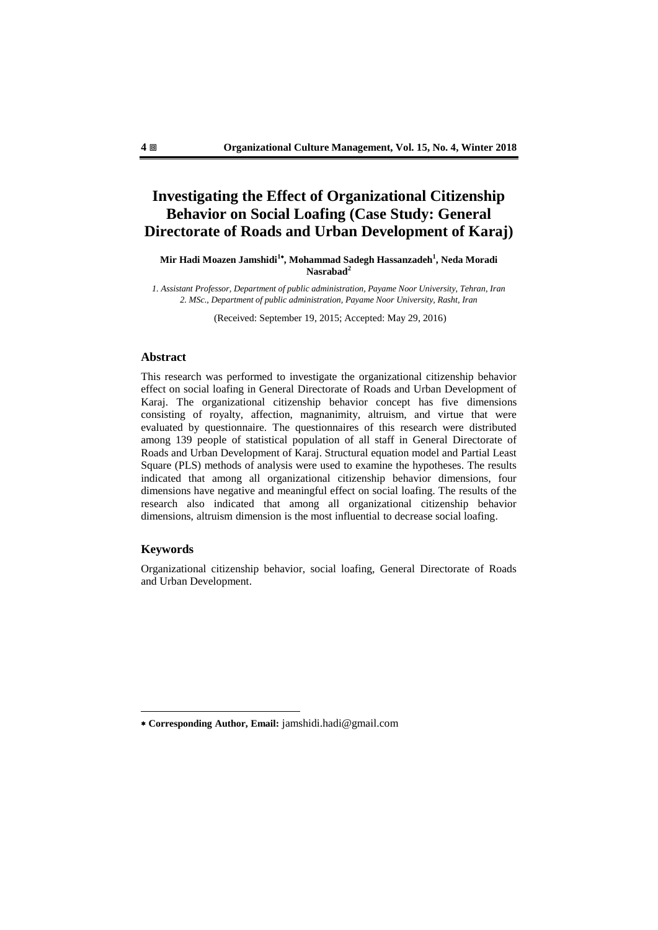# **Investigating the Effect of Organizational Citizenship Behavior on Social Loafing (Case Study: General Directorate of Roads and Urban Development of Karaj)**

**Mir Hadi Moazen Jamshidi<sup>1</sup> , Mohammad Sadegh Hassanzadeh<sup>1</sup> , Neda Moradi Nasrabad<sup>2</sup>**

*1. Assistant Professor, Department of public administration, Payame Noor University, Tehran, Iran 2. MSc., Department of public administration, Payame Noor University, Rasht, Iran*

(Received: September 19, 2015; Accepted: May 29, 2016)

### **Abstract**

This research was performed to investigate the organizational citizenship behavior effect on social loafing in General Directorate of Roads and Urban Development of Karaj. The organizational citizenship behavior concept has five dimensions consisting of royalty, affection, magnanimity, altruism, and virtue that were evaluated by questionnaire. The questionnaires of this research were distributed among 139 people of statistical population of all staff in General Directorate of Roads and Urban Development of Karaj. Structural equation model and Partial Least Square (PLS) methods of analysis were used to examine the hypotheses. The results indicated that among all organizational citizenship behavior dimensions, four dimensions have negative and meaningful effect on social loafing. The results of the research also indicated that among all organizational citizenship behavior dimensions, altruism dimension is the most influential to decrease social loafing.

### **Keywords**

-

Organizational citizenship behavior, social loafing, General Directorate of Roads and Urban Development.

**Corresponding Author, Email:** jamshidi.hadi@gmail.com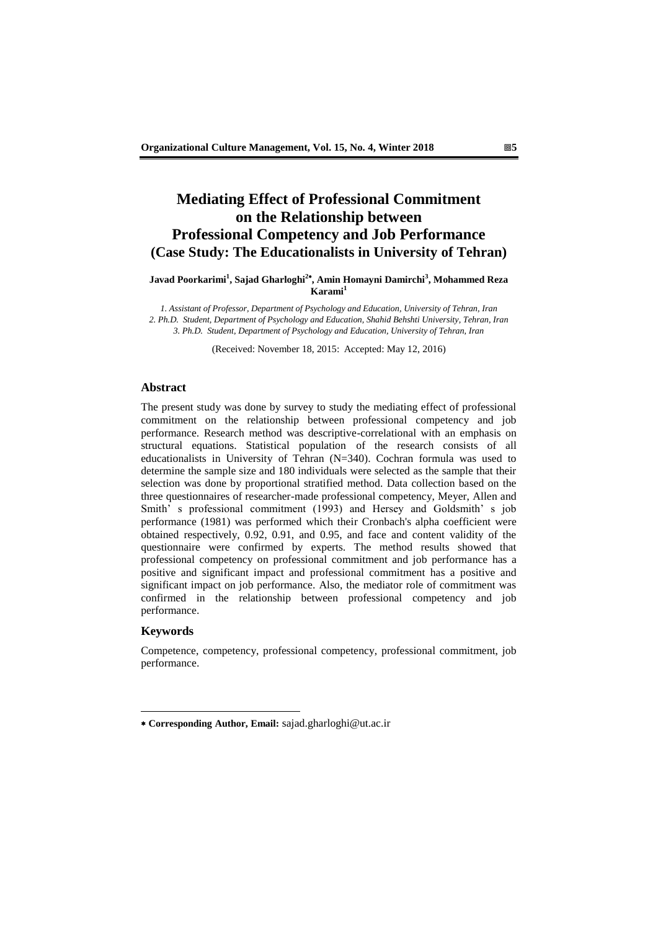## **Mediating Effect of Professional Commitment on the Relationship between Professional Competency and Job Performance (Case Study: The Educationalists in University of Tehran)**

### **Javad Poorkarimi<sup>1</sup> , Sajad Gharloghi<sup>2</sup> , Amin Homayni Damirchi<sup>3</sup> , Mohammed Reza Karami<sup>1</sup>**

*1. Assistant of Professor, Department of Psychology and Education, University of Tehran, Iran 2. Ph.D. Student, Department of Psychology and Education, Shahid Behshti University, Tehran, Iran 3. Ph.D. Student, Department of Psychology and Education, University of Tehran, Iran*

(Received: November 18, 2015: Accepted: May 12, 2016)

### **Abstract**

The present study was done by survey to study the mediating effect of professional commitment on the relationship between professional competency and job performance. Research method was descriptive-correlational with an emphasis on structural equations. Statistical population of the research consists of all educationalists in University of Tehran (N=340). Cochran formula was used to determine the sample size and 180 individuals were selected as the sample that their selection was done by proportional stratified method. Data collection based on the three questionnaires of researcher-made professional competency, Meyer, Allen and Smith' s professional commitment (1993) and Hersey and Goldsmith' s job performance (1981) was performed which their Cronbach's alpha coefficient were obtained respectively, 0.92, 0.91, and 0.95, and face and content validity of the questionnaire were confirmed by experts. The method results showed that professional competency on professional commitment and job performance has a positive and significant impact and professional commitment has a positive and significant impact on job performance. Also, the mediator role of commitment was confirmed in the relationship between professional competency and job performance.

#### **Keywords**

-

Competence, competency, professional competency, professional commitment, job performance.

**Corresponding Author, Email:** sajad.gharloghi@ut.ac.ir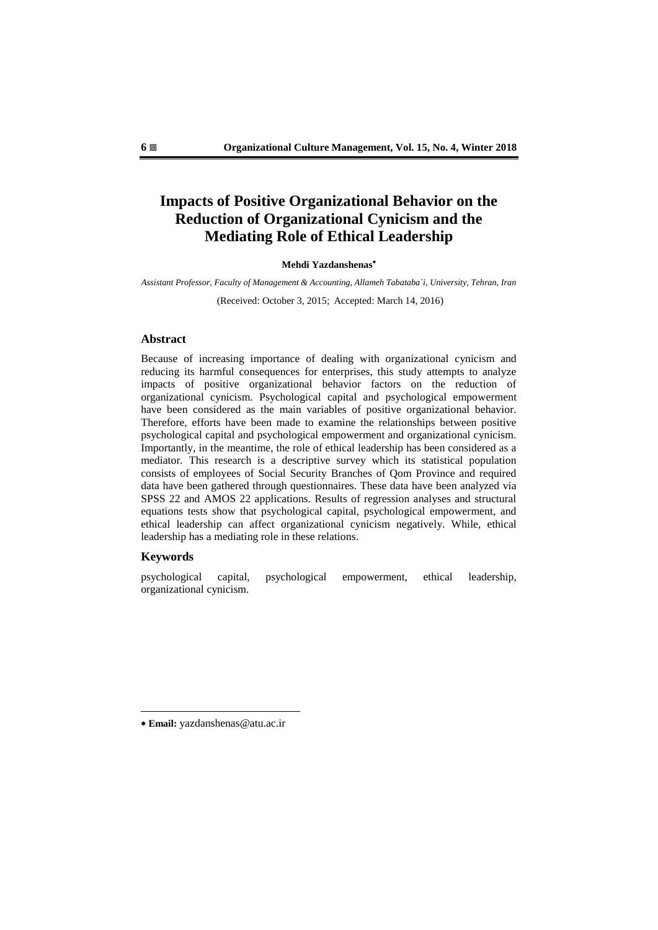# **Impacts of Positive Organizational Behavior on the Reduction of Organizational Cynicism and the Mediating Role of Ethical Leadership**

#### **Mehdi Yazdanshenas**

*Assistant Professor, Faculty of Management & Accounting, Allameh Tabataba`i, University, Tehran, Iran*

(Received: October 3, 2015; Accepted: March 14, 2016)

#### **Abstract**

Because of increasing importance of dealing with organizational cynicism and reducing its harmful consequences for enterprises, this study attempts to analyze impacts of positive organizational behavior factors on the reduction of organizational cynicism. Psychological capital and psychological empowerment have been considered as the main variables of positive organizational behavior. Therefore, efforts have been made to examine the relationships between positive psychological capital and psychological empowerment and organizational cynicism. Importantly, in the meantime, the role of ethical leadership has been considered as a mediator. This research is a descriptive survey which its statistical population consists of employees of Social Security Branches of Qom Province and required data have been gathered through questionnaires. These data have been analyzed via SPSS 22 and AMOS 22 applications. Results of regression analyses and structural equations tests show that psychological capital, psychological empowerment, and ethical leadership can affect organizational cynicism negatively. While, ethical leadership has a mediating role in these relations.

#### **Keywords**

-

psychological capital, psychological empowerment, ethical leadership, organizational cynicism.

**Email:** yazdanshenas@atu.ac.ir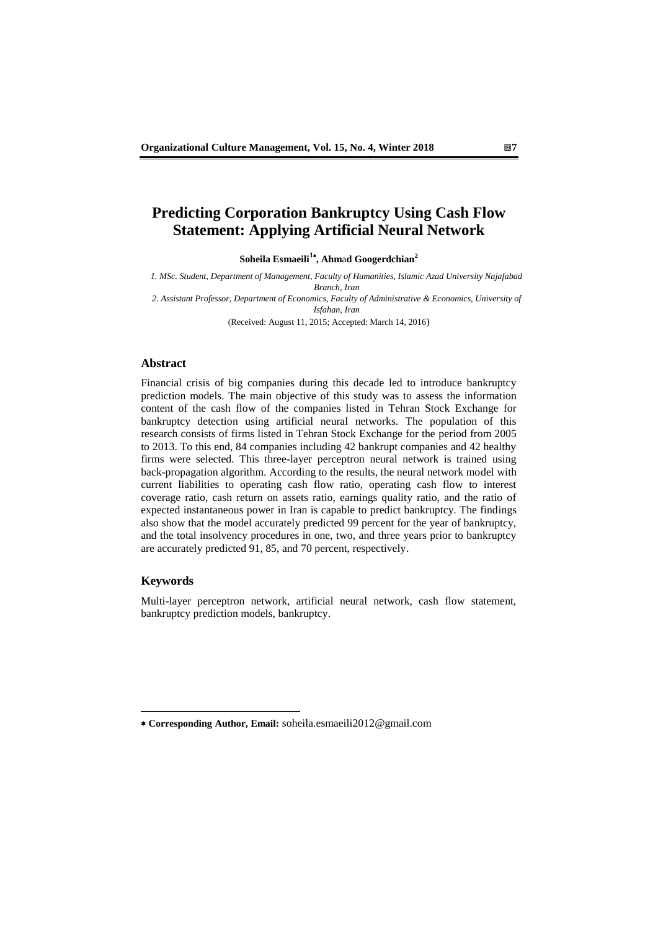# **Predicting Corporation Bankruptcy Using Cash Flow Statement: Applying Artificial Neural Network**

**Soheila Esmaeili1 , Ahm**a**d Googerdchian<sup>2</sup>**

*1. MSc. Student, Department of Management, Faculty of Humanities, Islamic Azad University Najafabad Branch, Iran 2. Assistant Professor, Department of Economics, Faculty of Administrative & Economics, University of* 

*Isfahan, Iran*

(Received: August 11, 2015; Accepted: March 14, 2016)

### **Abstract**

Financial crisis of big companies during this decade led to introduce bankruptcy prediction models. The main objective of this study was to assess the information content of the cash flow of the companies listed in Tehran Stock Exchange for bankruptcy detection using artificial neural networks. The population of this research consists of firms listed in Tehran Stock Exchange for the period from 2005 to 2013. To this end, 84 companies including 42 bankrupt companies and 42 healthy firms were selected. This three-layer perceptron neural network is trained using back-propagation algorithm. According to the results, the neural network model with current liabilities to operating cash flow ratio, operating cash flow to interest coverage ratio, cash return on assets ratio, earnings quality ratio, and the ratio of expected instantaneous power in Iran is capable to predict bankruptcy. The findings also show that the model accurately predicted 99 percent for the year of bankruptcy, and the total insolvency procedures in one, two, and three years prior to bankruptcy are accurately predicted 91, 85, and 70 percent, respectively.

### **Keywords**

-

Multi-layer perceptron network, artificial neural network, cash flow statement, bankruptcy prediction models, bankruptcy.

**Corresponding Author, Email:** soheila.esmaeili2012@gmail.com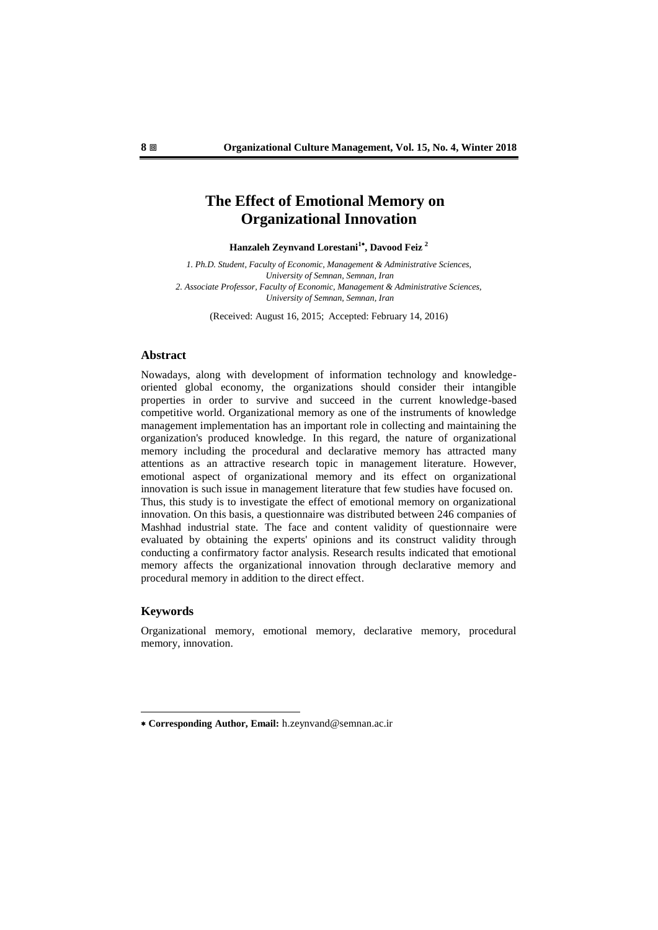## **The Effect of Emotional Memory on Organizational Innovation**

**Hanzaleh Zeynvand Lorestani<sup>1</sup> , Davood Feiz <sup>2</sup>**

*1. Ph.D. Student, Faculty of Economic, Management & Administrative Sciences, University of Semnan, Semnan, Iran 2. Associate Professor, Faculty of Economic, Management & Administrative Sciences, University of Semnan, Semnan, Iran*

(Received: August 16, 2015; Accepted: February 14, 2016)

### **Abstract**

Nowadays, along with development of information technology and knowledgeoriented global economy, the organizations should consider their intangible properties in order to survive and succeed in the current knowledge-based competitive world. Organizational memory as one of the instruments of knowledge management implementation has an important role in collecting and maintaining the organization's produced knowledge. In this regard, the nature of organizational memory including the procedural and declarative memory has attracted many attentions as an attractive research topic in management literature. However, emotional aspect of organizational memory and its effect on organizational innovation is such issue in management literature that few studies have focused on. Thus, this study is to investigate the effect of emotional memory on organizational innovation. On this basis, a questionnaire was distributed between 246 companies of Mashhad industrial state. The face and content validity of questionnaire were evaluated by obtaining the experts' opinions and its construct validity through conducting a confirmatory factor analysis. Research results indicated that emotional memory affects the organizational innovation through declarative memory and procedural memory in addition to the direct effect.

### **Keywords**

-

Organizational memory, emotional memory, declarative memory, procedural memory, innovation.

**Corresponding Author, Email:** h.zeynvand@semnan.ac.ir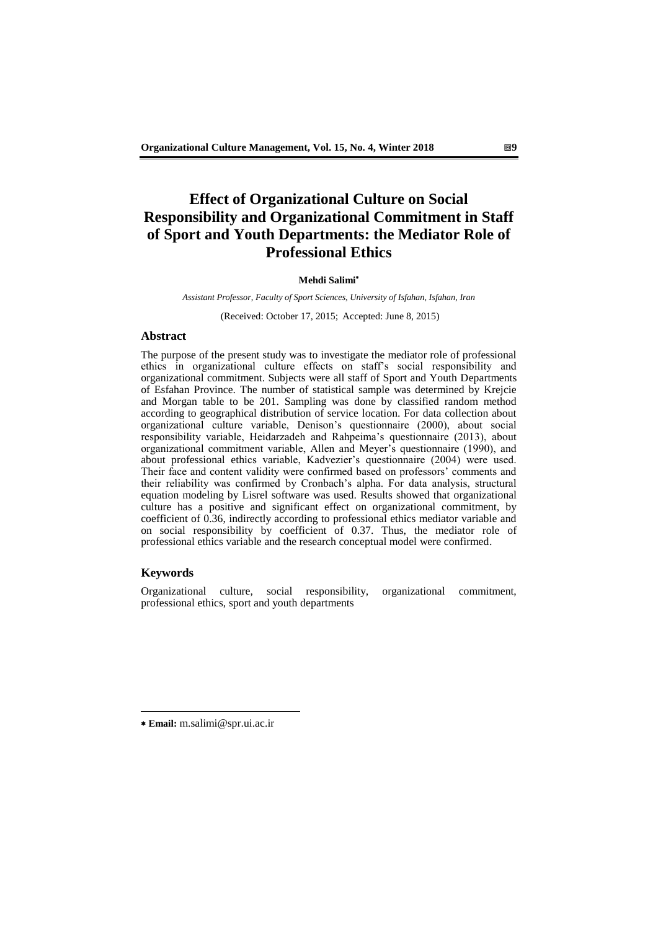# **Effect of Organizational Culture on Social Responsibility and Organizational Commitment in Staff of Sport and Youth Departments: the Mediator Role of Professional Ethics**

#### **Mehdi Salimi**

*Assistant Professor, Faculty of Sport Sciences, University of Isfahan, Isfahan, Iran*

(Received: October 17, 2015; Accepted: June 8, 2015)

### **Abstract**

The purpose of the present study was to investigate the mediator role of professional ethics in organizational culture effects on staff's social responsibility and organizational commitment. Subjects were all staff of Sport and Youth Departments of Esfahan Province. The number of statistical sample was determined by Krejcie and Morgan table to be 201. Sampling was done by classified random method according to geographical distribution of service location. For data collection about organizational culture variable, Denison's questionnaire (2000), about social responsibility variable, Heidarzadeh and Rahpeima's questionnaire (2013), about organizational commitment variable, Allen and Meyer's questionnaire (1990), and about professional ethics variable, Kadvezier's questionnaire (2004) were used. Their face and content validity were confirmed based on professors' comments and their reliability was confirmed by Cronbach's alpha. For data analysis, structural equation modeling by Lisrel software was used. Results showed that organizational culture has a positive and significant effect on organizational commitment, by coefficient of 0.36, indirectly according to professional ethics mediator variable and on social responsibility by coefficient of 0.37. Thus, the mediator role of professional ethics variable and the research conceptual model were confirmed.

### **Keywords**

-

Organizational culture, social responsibility, organizational commitment, professional ethics, sport and youth departments

**Email:** m.salimi@spr.ui.ac.ir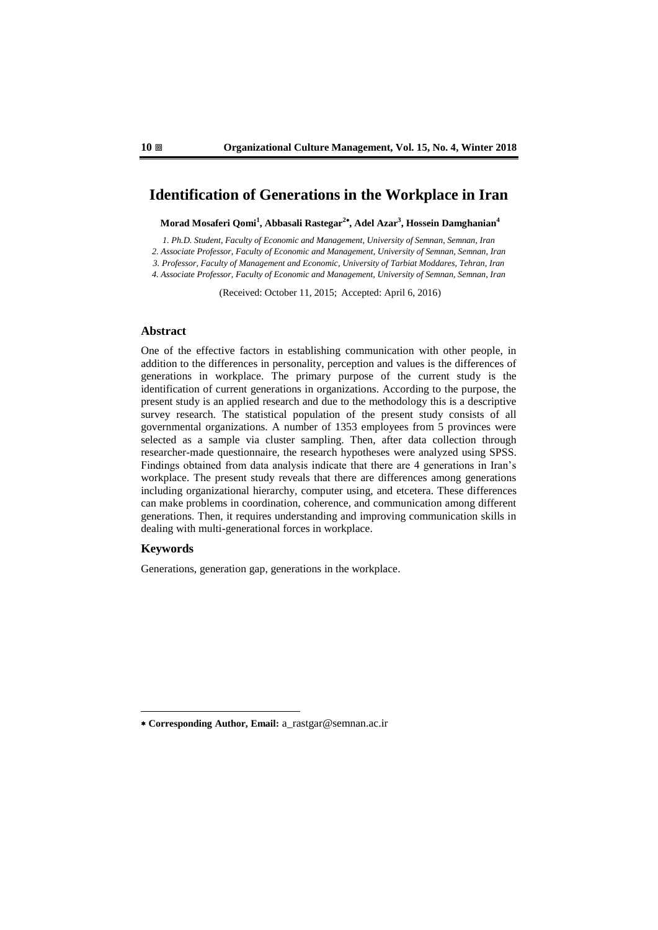## **Identification of Generations in the Workplace in Iran**

**Morad Mosaferi Qomi<sup>1</sup> , Abbasali Rastegar<sup>2</sup> , Adel Azar<sup>3</sup> , Hossein Damghanian<sup>4</sup>**

*1. Ph.D. Student, Faculty of Economic and Management, University of Semnan, Semnan, Iran*

*2. Associate Professor, Faculty of Economic and Management, University of Semnan, Semnan, Iran*

*3. Professor, Faculty of Management and Economic, University of Tarbiat Moddares, Tehran, Iran*

*4. Associate Professor, Faculty of Economic and Management, University of Semnan, Semnan, Iran*

(Received: October 11, 2015; Accepted: April 6, 2016)

### **Abstract**

One of the effective factors in establishing communication with other people, in addition to the differences in personality, perception and values is the differences of generations in workplace. The primary purpose of the current study is the identification of current generations in organizations. According to the purpose, the present study is an applied research and due to the methodology this is a descriptive survey research. The statistical population of the present study consists of all governmental organizations. A number of 1353 employees from 5 provinces were selected as a sample via cluster sampling. Then, after data collection through researcher-made questionnaire, the research hypotheses were analyzed using SPSS. Findings obtained from data analysis indicate that there are 4 generations in Iran's workplace. The present study reveals that there are differences among generations including organizational hierarchy, computer using, and etcetera. These differences can make problems in coordination, coherence, and communication among different generations. Then, it requires understanding and improving communication skills in dealing with multi-generational forces in workplace.

### **Keywords**

-

Generations, generation gap, generations in the workplace.

**Corresponding Author, Email:** a\_rastgar@semnan.ac.ir